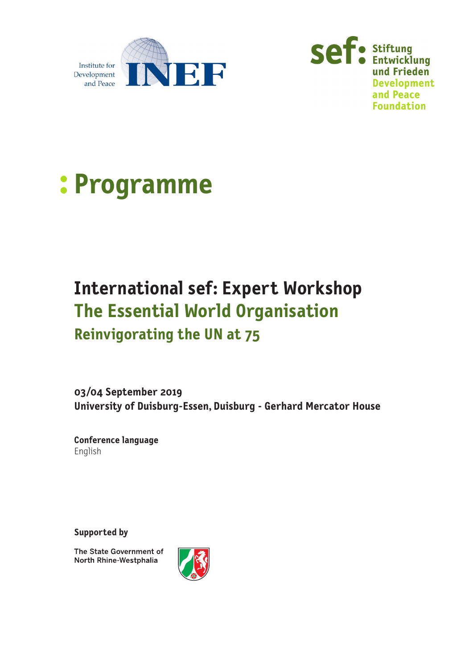





### **International sef: Expert Workshop The Essential World Organisation Reinvigorating the UN at 75**

### **03/04 September 2019 University of Duisburg-Essen, Duisburg - Gerhard Mercator House**

**Conference language** English

**Supported by**

The State Government of North Rhine-Westphalia

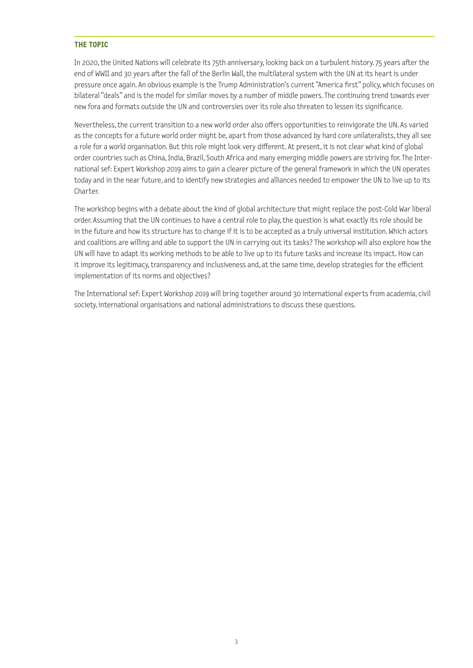#### **THE TOPIC**

In 2020, the United Nations will celebrate its 75th anniversary, looking back on a turbulent history. 75 years after the end of WWII and 30 years after the fall of the Berlin Wall, the multilateral system with the UN at its heart is under pressure once again. An obvious example is the Trump Administration's current "America first" policy, which focuses on bilateral "deals" and is the model for similar moves by a number of middle powers. The continuing trend towards ever new fora and formats outside the UN and controversies over its role also threaten to lessen its significance.

Nevertheless, the current transition to a new world order also offers opportunities to reinvigorate the UN. As varied as the concepts for a future world order might be, apart from those advanced by hard core unilateralists, they all see a role for a world organisation. But this role might look very different. At present, it is not clear what kind of global order countries such as China, India, Brazil, South Africa and many emerging middle powers are striving for. The International sef: Expert Workshop 2019 aims to gain a clearer picture of the general framework in which the UN operates today and in the near future, and to identify new strategies and alliances needed to empower the UN to live up to its Charter.

The workshop begins with a debate about the kind of global architecture that might replace the post-Cold War liberal order. Assuming that the UN continues to have a central role to play, the question is what exactly its role should be in the future and how its structure has to change if it is to be accepted as a truly universal institution. Which actors and coalitions are willing and able to support the UN in carrying out its tasks? The workshop will also explore how the UN will have to adapt its working methods to be able to live up to its future tasks and increase its impact. How can it improve its legitimacy, transparency and inclusiveness and, at the same time, develop strategies for the efficient implementation of its norms and objectives?

The International sef: Expert Workshop 2019 will bring together around 30 international experts from academia, civil society, international organisations and national administrations to discuss these questions.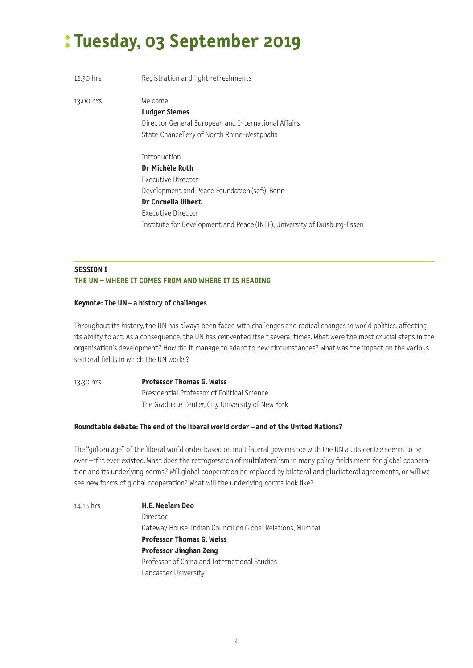# **: Tuesday, 03 September 2019**

| 12.30 hrs | Registration and light refreshments                                                                                                                                                                                            |
|-----------|--------------------------------------------------------------------------------------------------------------------------------------------------------------------------------------------------------------------------------|
| 13.00 hrs | Welcome<br><b>Ludger Siemes</b><br>Director General European and International Affairs<br>State Chancellery of North Rhine-Westphalia                                                                                          |
|           | Introduction<br>Dr Michèle Roth<br>Executive Director<br>Development and Peace Foundation (sef:), Bonn<br>Dr Cornelia Ulbert<br>Executive Director<br>Institute for Development and Peace (INEF), University of Duisburg-Essen |

#### **SESSION I THE UN – WHERE IT COMES FROM AND WHERE IT IS HEADING**

#### **Keynote: The UN – a history of challenges**

Throughout its history, the UN has always been faced with challenges and radical changes in world politics, affecting its ability to act. As a consequence, the UN has reinvented itself several times. What were the most crucial steps in the organisation's development? How did it manage to adapt to new circumstances? What was the impact on the various sectoral fields in which the UN works?

13.30 hrs **Professor Thomas G. Weiss** Presidential Professor of Political Science The Graduate Center, City University of New York

#### **Roundtable debate: The end of the liberal world order – and of the United Nations?**

The "golden age" of the liberal world order based on multilateral governance with the UN at its centre seems to be over – if it ever existed. What does the retrogression of multilateralism in many policy fields mean for global cooperation and its underlying norms? Will global cooperation be replaced by bilateral and plurilateral agreements, or will we see new forms of global cooperation? What will the underlying norms look like?

14.15 hrs **H.E. Neelam Deo** Director Gateway House. Indian Council on Global Relations, Mumbai **Professor Thomas G. Weiss Professor Jinghan Zeng** Professor of China and International Studies Lancaster University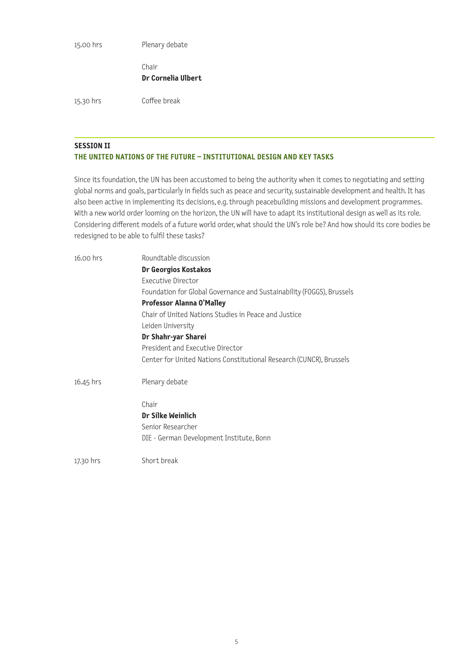15.00 hrs Plenary debate

Chair **Dr Cornelia Ulbert**

15.30 hrs Coffee break

#### **SESSION II THE UNITED NATIONS OF THE FUTURE – INSTITUTIONAL DESIGN AND KEY TASKS**

Since its foundation, the UN has been accustomed to being the authority when it comes to negotiating and setting global norms and goals, particularly in fields such as peace and security, sustainable development and health. It has also been active in implementing its decisions, e.g. through peacebuilding missions and development programmes. With a new world order looming on the horizon, the UN will have to adapt its institutional design as well as its role. Considering different models of a future world order, what should the UN's role be? And how should its core bodies be redesigned to be able to fulfil these tasks?

| $16.00$ hrs | Roundtable discussion                                                 |
|-------------|-----------------------------------------------------------------------|
|             | Dr Georgios Kostakos                                                  |
|             | <b>Executive Director</b>                                             |
|             | Foundation for Global Governance and Sustainability (FOGGS), Brussels |
|             | Professor Alanna O'Malley                                             |
|             | Chair of United Nations Studies in Peace and Justice                  |
|             | Leiden University                                                     |
|             | Dr Shahr-yar Sharei                                                   |
|             | President and Executive Director                                      |
|             | Center for United Nations Constitutional Research (CUNCR), Brussels   |
| 16.45 hrs   | Plenary debate                                                        |
|             | Chair                                                                 |
|             | Dr Silke Weinlich                                                     |
|             | Senior Researcher                                                     |
|             | DIE - German Development Institute, Bonn                              |
| 17.30 hrs   | Short break                                                           |
|             |                                                                       |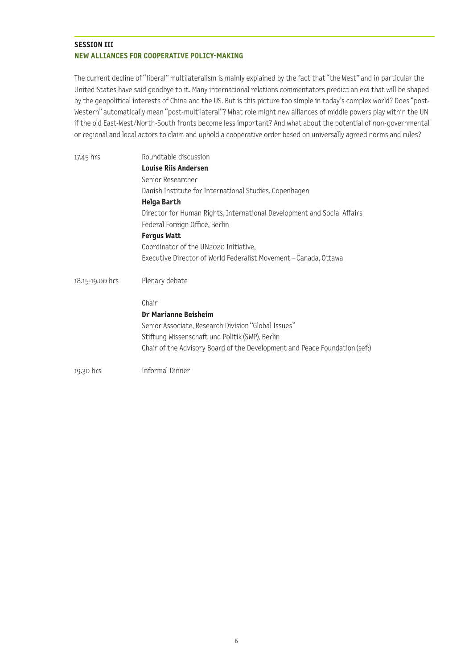#### **SESSION III NEW ALLIANCES FOR COOPERATIVE POLICY-MAKING**

The current decline of "liberal" multilateralism is mainly explained by the fact that "the West" and in particular the United States have said goodbye to it. Many international relations commentators predict an era that will be shaped by the geopolitical interests of China and the US. But is this picture too simple in today's complex world? Does "post-Western" automatically mean "post-multilateral"? What role might new alliances of middle powers play within the UN if the old East-West/North-South fronts become less important? And what about the potential of non-governmental or regional and local actors to claim and uphold a cooperative order based on universally agreed norms and rules?

| 17.45 hrs       | Roundtable discussion                                                                                     |
|-----------------|-----------------------------------------------------------------------------------------------------------|
|                 | <b>Louise Riis Andersen</b>                                                                               |
|                 | Senior Researcher                                                                                         |
|                 | Danish Institute for International Studies, Copenhagen                                                    |
|                 | <b>Helga Barth</b>                                                                                        |
|                 | Director for Human Rights, International Development and Social Affairs<br>Federal Foreign Office, Berlin |
|                 | <b>Fergus Watt</b>                                                                                        |
|                 | Coordinator of the UN2020 Initiative,                                                                     |
|                 | Executive Director of World Federalist Movement-Canada, Ottawa                                            |
| 18.15-19.00 hrs | Plenary debate                                                                                            |
|                 | Chair                                                                                                     |
|                 | <b>Dr Marianne Beisheim</b>                                                                               |
|                 | Senior Associate, Research Division "Global Issues"                                                       |
|                 | Stiftung Wissenschaft und Politik (SWP), Berlin                                                           |
|                 | Chair of the Advisory Board of the Development and Peace Foundation (sef:)                                |
| 19.30 hrs       | Informal Dinner                                                                                           |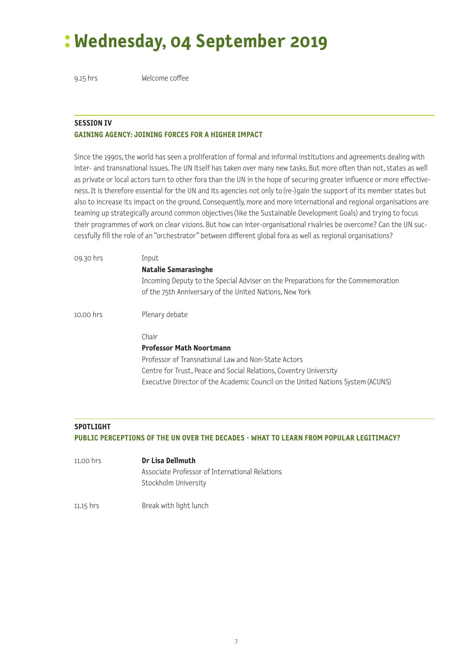# **: Wednesday, 04 September 2019**

9.15 hrs Welcome coffee

#### **SESSION IV GAINING AGENCY: JOINING FORCES FOR A HIGHER IMPACT**

Since the 1990s, the world has seen a proliferation of formal and informal institutions and agreements dealing with inter- and transnational issues. The UN itself has taken over many new tasks. But more often than not, states as well as private or local actors turn to other fora than the UN in the hope of securing greater influence or more effectiveness. It is therefore essential for the UN and its agencies not only to (re-)gain the support of its member states but also to increase its impact on the ground. Consequently, more and more international and regional organisations are teaming up strategically around common objectives (like the Sustainable Development Goals) and trying to focus their programmes of work on clear visions. But how can inter-organisational rivalries be overcome? Can the UN successfully fill the role of an "orchestrator" between different global fora as well as regional organisations?

| 09.30 hrs | Input                                                                                                                                       |
|-----------|---------------------------------------------------------------------------------------------------------------------------------------------|
|           | Natalie Samarasinghe                                                                                                                        |
|           | Incoming Deputy to the Special Adviser on the Preparations for the Commemoration<br>of the 75th Anniversary of the United Nations, New York |
| 10.00 hrs | Plenary debate                                                                                                                              |
|           | Chair                                                                                                                                       |
|           | <b>Professor Math Noortmann</b>                                                                                                             |
|           | Professor of Transnational Law and Non-State Actors                                                                                         |
|           | Centre for Trust, Peace and Social Relations, Coventry University                                                                           |
|           | Executive Director of the Academic Council on the United Nations System (ACUNS)                                                             |
|           |                                                                                                                                             |
|           |                                                                                                                                             |

#### **SPOTLIGHT**

#### **PUBLIC PERCEPTIONS OF THE UN OVER THE DECADES - WHAT TO LEARN FROM POPULAR LEGITIMACY?**

11.00 hrs **Dr Lisa Dellmuth** Associate Professor of International Relations Stockholm University

11.15 hrs Break with light lunch